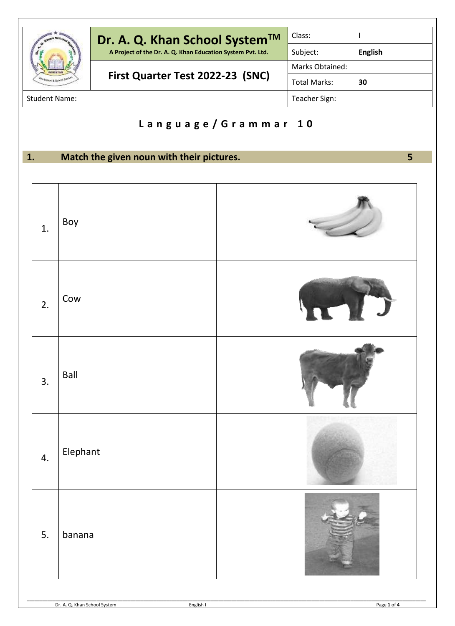|                      | Dr. A. Q. Khan School System™                              | Class:              |                |
|----------------------|------------------------------------------------------------|---------------------|----------------|
|                      | A Project of the Dr. A. Q. Khan Education System Pvt. Ltd. | Subject:            | <b>English</b> |
|                      | First Quarter Test 2022-23 (SNC)                           | Marks Obtained:     |                |
|                      |                                                            | <b>Total Marks:</b> | 30             |
| <b>Student Name:</b> |                                                            | Teacher Sign:       |                |

## **L a n g u a g e / G r a m m a r 1 0**

**1. Match the given noun with their pictures. 5**

| 1. | Boy      |  |
|----|----------|--|
| 2. | Cow      |  |
| 3. | Ball     |  |
| 4. | Elephant |  |
| 5. | banana   |  |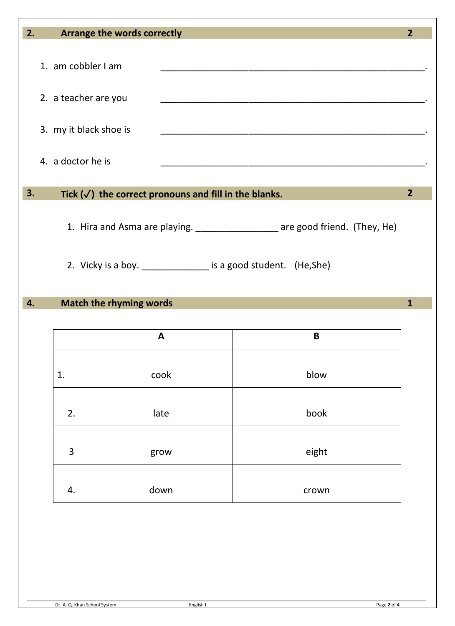| 2. |                                                                                                                                                 | Arrange the words correctly                                      |             | $\overline{2}$ |  |
|----|-------------------------------------------------------------------------------------------------------------------------------------------------|------------------------------------------------------------------|-------------|----------------|--|
|    | 1. am cobbler I am                                                                                                                              |                                                                  |             |                |  |
|    |                                                                                                                                                 | 2. a teacher are you                                             |             |                |  |
|    | 3. my it black shoe is                                                                                                                          |                                                                  |             |                |  |
|    | 4. a doctor he is                                                                                                                               |                                                                  |             |                |  |
| 3. |                                                                                                                                                 | Tick $(\checkmark)$ the correct pronouns and fill in the blanks. |             | $\overline{2}$ |  |
|    | 1. Hira and Asma are playing. _________________ are good friend. (They, He)<br>2. Vicky is a boy. ________________ is a good student. (He, She) |                                                                  |             |                |  |
| 4. | <b>Match the rhyming words</b><br>1                                                                                                             |                                                                  |             |                |  |
|    |                                                                                                                                                 | $\mathbf{A}$                                                     | $\mathsf B$ |                |  |
|    | 1.                                                                                                                                              | cook                                                             | blow        |                |  |
|    | 2.                                                                                                                                              | late                                                             | book        |                |  |
|    | 3                                                                                                                                               | grow                                                             | eight       |                |  |

4. down crown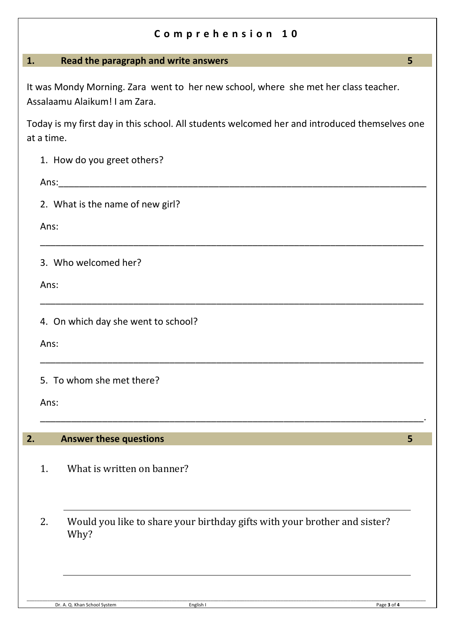## **C o m p r e h e n s i o n 1 0**

## **1. Read the paragraph and write answers 5**

It was Mondy Morning. Zara went to her new school, where she met her class teacher. Assalaamu Alaikum! I am Zara.

Today is my first day in this school. All students welcomed her and introduced themselves one at a time.

\_\_\_\_\_\_\_\_\_\_\_\_\_\_\_\_\_\_\_\_\_\_\_\_\_\_\_\_\_\_\_\_\_\_\_\_\_\_\_\_\_\_\_\_\_\_\_\_\_\_\_\_\_\_\_\_\_\_\_\_\_\_\_\_\_\_\_\_\_\_\_\_\_\_

\_\_\_\_\_\_\_\_\_\_\_\_\_\_\_\_\_\_\_\_\_\_\_\_\_\_\_\_\_\_\_\_\_\_\_\_\_\_\_\_\_\_\_\_\_\_\_\_\_\_\_\_\_\_\_\_\_\_\_\_\_\_\_\_\_\_\_\_\_\_\_\_\_\_

\_\_\_\_\_\_\_\_\_\_\_\_\_\_\_\_\_\_\_\_\_\_\_\_\_\_\_\_\_\_\_\_\_\_\_\_\_\_\_\_\_\_\_\_\_\_\_\_\_\_\_\_\_\_\_\_\_\_\_\_\_\_\_\_\_\_\_\_\_\_\_\_\_\_

\_\_\_\_\_\_\_\_\_\_\_\_\_\_\_\_\_\_\_\_\_\_\_\_\_\_\_\_\_\_\_\_\_\_\_\_\_\_\_\_\_\_\_\_\_\_\_\_\_\_\_\_\_\_\_\_\_\_\_\_\_\_\_\_\_\_\_\_\_\_\_\_\_\_.

|  |  |  |  |  | 1. How do you greet others? |
|--|--|--|--|--|-----------------------------|
|--|--|--|--|--|-----------------------------|

 $Ans:$ 

2. What is the name of new girl?

Ans:

3. Who welcomed her?

Ans:

4. On which day she went to school?

Ans:

5. To whom she met there?

Ans:

## **2. Answer these questions 5**

- 1. What is written on banner?
- 2. Would you like to share your birthday gifts with your brother and sister? Why?